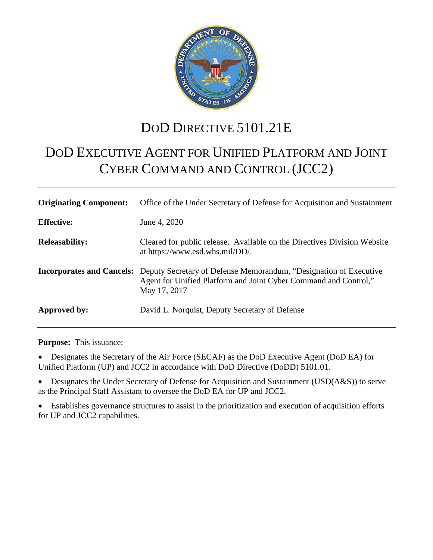

## DOD DIRECTIVE 5101.21E

# DOD EXECUTIVE AGENT FOR UNIFIED PLATFORM AND JOINT CYBER COMMAND AND CONTROL (JCC2)

| <b>Originating Component:</b> | Office of the Under Secretary of Defense for Acquisition and Sustainment                                                                                                               |
|-------------------------------|----------------------------------------------------------------------------------------------------------------------------------------------------------------------------------------|
| <b>Effective:</b>             | June 4, 2020                                                                                                                                                                           |
| <b>Releasability:</b>         | Cleared for public release. Available on the Directives Division Website<br>at https://www.esd.whs.mil/DD/.                                                                            |
|                               | <b>Incorporates and Cancels:</b> Deputy Secretary of Defense Memorandum, "Designation of Executive<br>Agent for Unified Platform and Joint Cyber Command and Control,"<br>May 17, 2017 |
| Approved by:                  | David L. Norquist, Deputy Secretary of Defense                                                                                                                                         |

**Purpose:** This issuance:

• Designates the Secretary of the Air Force (SECAF) as the DoD Executive Agent (DoD EA) for Unified Platform (UP) and JCC2 in accordance with DoD Directive (DoDD) 5101.01.

• Designates the Under Secretary of Defense for Acquisition and Sustainment (USD(A&S)) to serve as the Principal Staff Assistant to oversee the DoD EA for UP and JCC2.

• Establishes governance structures to assist in the prioritization and execution of acquisition efforts for UP and JCC2 capabilities.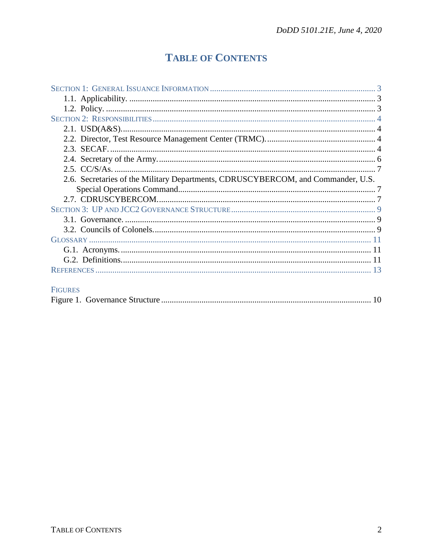## **TABLE OF CONTENTS**

| 2.6. Secretaries of the Military Departments, CDRUSCYBERCOM, and Commander, U.S. |  |
|----------------------------------------------------------------------------------|--|
|                                                                                  |  |
|                                                                                  |  |
|                                                                                  |  |
|                                                                                  |  |
|                                                                                  |  |
|                                                                                  |  |
|                                                                                  |  |
|                                                                                  |  |
|                                                                                  |  |

### FIGURES

|--|--|--|--|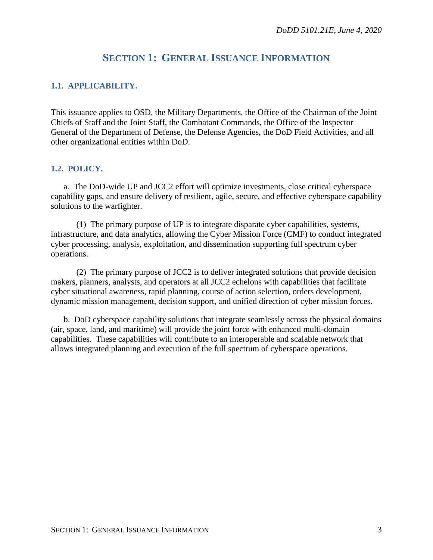## **SECTION 1: GENERAL ISSUANCE INFORMATION**

#### <span id="page-2-1"></span><span id="page-2-0"></span>**1.1. APPLICABILITY.**

This issuance applies to OSD, the Military Departments, the Office of the Chairman of the Joint Chiefs of Staff and the Joint Staff, the Combatant Commands, the Office of the Inspector General of the Department of Defense, the Defense Agencies, the DoD Field Activities, and all other organizational entities within DoD.

#### <span id="page-2-2"></span>**1.2. POLICY.**

a. The DoD-wide UP and JCC2 effort will optimize investments, close critical cyberspace capability gaps, and ensure delivery of resilient, agile, secure, and effective cyberspace capability solutions to the warfighter.

(1) The primary purpose of UP is to integrate disparate cyber capabilities, systems, infrastructure, and data analytics, allowing the Cyber Mission Force (CMF) to conduct integrated cyber processing, analysis, exploitation, and dissemination supporting full spectrum cyber operations.

(2) The primary purpose of JCC2 is to deliver integrated solutions that provide decision makers, planners, analysts, and operators at all JCC2 echelons with capabilities that facilitate cyber situational awareness, rapid planning, course of action selection, orders development, dynamic mission management, decision support, and unified direction of cyber mission forces.

b. DoD cyberspace capability solutions that integrate seamlessly across the physical domains (air, space, land, and maritime) will provide the joint force with enhanced multi-domain capabilities. These capabilities will contribute to an interoperable and scalable network that allows integrated planning and execution of the full spectrum of cyberspace operations.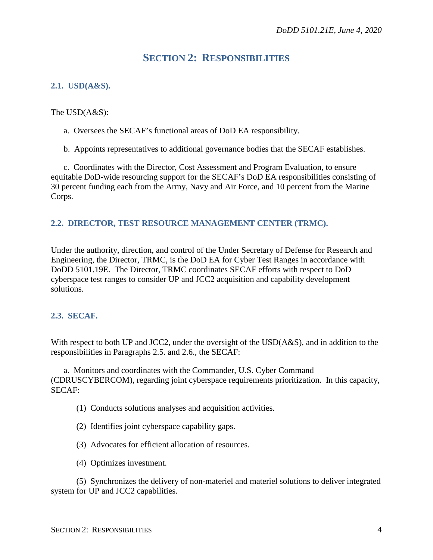## **SECTION 2: RESPONSIBILITIES**

#### <span id="page-3-1"></span><span id="page-3-0"></span>**2.1. USD(A&S).**

#### The USD(A&S):

- a. Oversees the SECAF's functional areas of DoD EA responsibility.
- b. Appoints representatives to additional governance bodies that the SECAF establishes.

c. Coordinates with the Director, Cost Assessment and Program Evaluation, to ensure equitable DoD-wide resourcing support for the SECAF's DoD EA responsibilities consisting of 30 percent funding each from the Army, Navy and Air Force, and 10 percent from the Marine Corps.

#### <span id="page-3-2"></span>**2.2. DIRECTOR, TEST RESOURCE MANAGEMENT CENTER (TRMC).**

Under the authority, direction, and control of the Under Secretary of Defense for Research and Engineering, the Director, TRMC, is the DoD EA for Cyber Test Ranges in accordance with DoDD 5101.19E. The Director, TRMC coordinates SECAF efforts with respect to DoD cyberspace test ranges to consider UP and JCC2 acquisition and capability development solutions.

#### <span id="page-3-3"></span>**2.3. SECAF.**

With respect to both UP and JCC2, under the oversight of the USD( $\angle$ A&S), and in addition to the responsibilities in Paragraphs 2.5. and 2.6., the SECAF:

a. Monitors and coordinates with the Commander, U.S. Cyber Command (CDRUSCYBERCOM), regarding joint cyberspace requirements prioritization. In this capacity, SECAF:

- (1) Conducts solutions analyses and acquisition activities.
- (2) Identifies joint cyberspace capability gaps.
- (3) Advocates for efficient allocation of resources.
- (4) Optimizes investment.

(5) Synchronizes the delivery of non-materiel and materiel solutions to deliver integrated system for UP and JCC2 capabilities.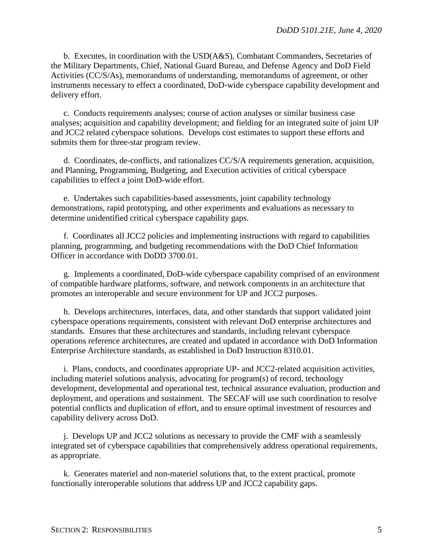b. Executes, in coordination with the USD(A&S), Combatant Commanders, Secretaries of the Military Departments, Chief, National Guard Bureau, and Defense Agency and DoD Field Activities (CC/S/As), memorandums of understanding, memorandums of agreement, or other instruments necessary to effect a coordinated, DoD-wide cyberspace capability development and delivery effort.

c. Conducts requirements analyses; course of action analyses or similar business case analyses; acquisition and capability development; and fielding for an integrated suite of joint UP and JCC2 related cyberspace solutions. Develops cost estimates to support these efforts and submits them for three-star program review.

d. Coordinates, de-conflicts, and rationalizes CC/S/A requirements generation, acquisition, and Planning, Programming, Budgeting, and Execution activities of critical cyberspace capabilities to effect a joint DoD-wide effort.

e. Undertakes such capabilities-based assessments, joint capability technology demonstrations, rapid prototyping, and other experiments and evaluations as necessary to determine unidentified critical cyberspace capability gaps.

f. Coordinates all JCC2 policies and implementing instructions with regard to capabilities planning, programming, and budgeting recommendations with the DoD Chief Information Officer in accordance with DoDD 3700.01.

g. Implements a coordinated, DoD-wide cyberspace capability comprised of an environment of compatible hardware platforms, software, and network components in an architecture that promotes an interoperable and secure environment for UP and JCC2 purposes.

h. Develops architectures, interfaces, data, and other standards that support validated joint cyberspace operations requirements, consistent with relevant DoD enterprise architectures and standards. Ensures that these architectures and standards, including relevant cyberspace operations reference architectures, are created and updated in accordance with DoD Information Enterprise Architecture standards, as established in DoD Instruction 8310.01.

i. Plans, conducts, and coordinates appropriate UP- and JCC2-related acquisition activities, including materiel solutions analysis, advocating for program(s) of record, technology development, developmental and operational test, technical assurance evaluation, production and deployment, and operations and sustainment. The SECAF will use such coordination to resolve potential conflicts and duplication of effort, and to ensure optimal investment of resources and capability delivery across DoD.

j. Develops UP and JCC2 solutions as necessary to provide the CMF with a seamlessly integrated set of cyberspace capabilities that comprehensively address operational requirements, as appropriate.

k. Generates materiel and non-materiel solutions that, to the extent practical, promote functionally interoperable solutions that address UP and JCC2 capability gaps.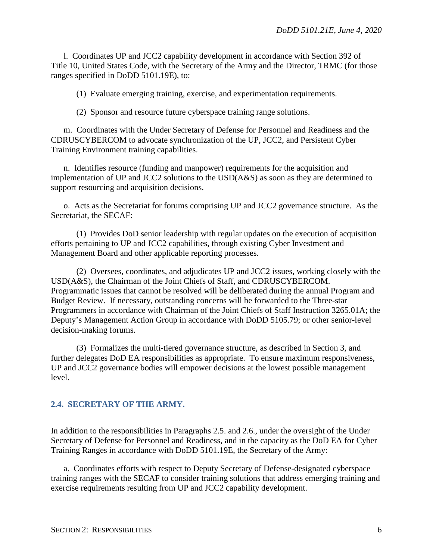l. Coordinates UP and JCC2 capability development in accordance with Section 392 of Title 10, United States Code, with the Secretary of the Army and the Director, TRMC (for those ranges specified in DoDD 5101.19E), to:

(1) Evaluate emerging training, exercise, and experimentation requirements.

(2) Sponsor and resource future cyberspace training range solutions.

m. Coordinates with the Under Secretary of Defense for Personnel and Readiness and the CDRUSCYBERCOM to advocate synchronization of the UP, JCC2, and Persistent Cyber Training Environment training capabilities.

n. Identifies resource (funding and manpower) requirements for the acquisition and implementation of UP and JCC2 solutions to the USD(A&S) as soon as they are determined to support resourcing and acquisition decisions.

o. Acts as the Secretariat for forums comprising UP and JCC2 governance structure. As the Secretariat, the SECAF:

(1) Provides DoD senior leadership with regular updates on the execution of acquisition efforts pertaining to UP and JCC2 capabilities, through existing Cyber Investment and Management Board and other applicable reporting processes.

(2) Oversees, coordinates, and adjudicates UP and JCC2 issues, working closely with the USD(A&S), the Chairman of the Joint Chiefs of Staff, and CDRUSCYBERCOM. Programmatic issues that cannot be resolved will be deliberated during the annual Program and Budget Review. If necessary, outstanding concerns will be forwarded to the Three-star Programmers in accordance with Chairman of the Joint Chiefs of Staff Instruction 3265.01A; the Deputy's Management Action Group in accordance with DoDD 5105.79; or other senior-level decision-making forums.

(3) Formalizes the multi-tiered governance structure, as described in Section 3, and further delegates DoD EA responsibilities as appropriate. To ensure maximum responsiveness, UP and JCC2 governance bodies will empower decisions at the lowest possible management level.

#### <span id="page-5-0"></span>**2.4. SECRETARY OF THE ARMY.**

In addition to the responsibilities in Paragraphs 2.5. and 2.6., under the oversight of the Under Secretary of Defense for Personnel and Readiness, and in the capacity as the DoD EA for Cyber Training Ranges in accordance with DoDD 5101.19E, the Secretary of the Army:

a. Coordinates efforts with respect to Deputy Secretary of Defense-designated cyberspace training ranges with the SECAF to consider training solutions that address emerging training and exercise requirements resulting from UP and JCC2 capability development.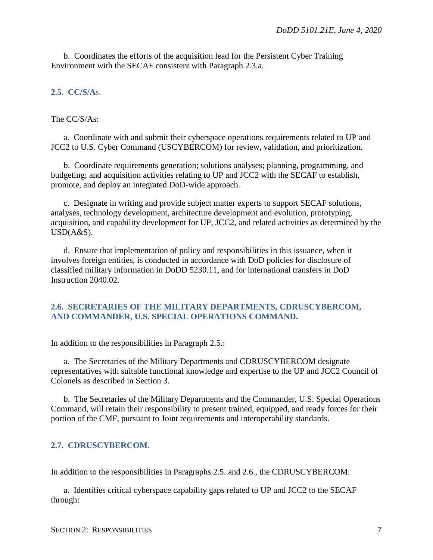b. Coordinates the efforts of the acquisition lead for the Persistent Cyber Training Environment with the SECAF consistent with Paragraph 2.3.a.

#### <span id="page-6-0"></span>**2.5. CC/S/A**s.

#### The CC/S/As:

a. Coordinate with and submit their cyberspace operations requirements related to UP and JCC2 to U.S. Cyber Command (USCYBERCOM) for review, validation, and prioritization.

b. Coordinate requirements generation; solutions analyses; planning, programming, and budgeting; and acquisition activities relating to UP and JCC2 with the SECAF to establish, promote, and deploy an integrated DoD-wide approach.

c. Designate in writing and provide subject matter experts to support SECAF solutions, analyses, technology development, architecture development and evolution, prototyping, acquisition, and capability development for UP, JCC2, and related activities as determined by the USD(A&S).

d. Ensure that implementation of policy and responsibilities in this issuance, when it involves foreign entities, is conducted in accordance with DoD policies for disclosure of classified military information in DoDD 5230.11, and for international transfers in DoD Instruction 2040.02.

#### <span id="page-6-1"></span>**2.6. SECRETARIES OF THE MILITARY DEPARTMENTS, CDRUSCYBERCOM, AND COMMANDER, U.S. SPECIAL OPERATIONS COMMAND.**

In addition to the responsibilities in Paragraph 2.5.:

a. The Secretaries of the Military Departments and CDRUSCYBERCOM designate representatives with suitable functional knowledge and expertise to the UP and JCC2 Council of Colonels as described in Section 3.

b. The Secretaries of the Military Departments and the Commander, U.S. Special Operations Command, will retain their responsibility to present trained, equipped, and ready forces for their portion of the CMF, pursuant to Joint requirements and interoperability standards.

#### <span id="page-6-2"></span>**2.7. CDRUSCYBERCOM.**

In addition to the responsibilities in Paragraphs 2.5. and 2.6., the CDRUSCYBERCOM:

a. Identifies critical cyberspace capability gaps related to UP and JCC2 to the SECAF through: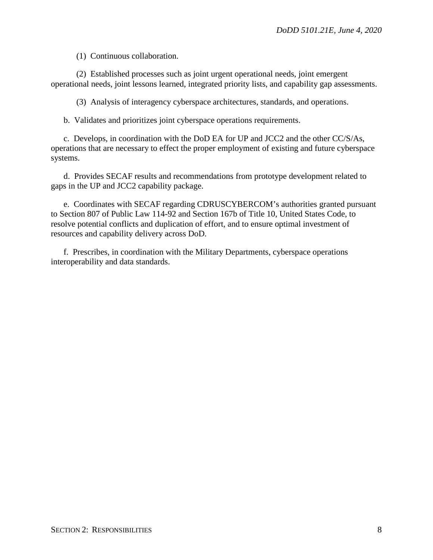(1) Continuous collaboration.

(2) Established processes such as joint urgent operational needs, joint emergent operational needs, joint lessons learned, integrated priority lists, and capability gap assessments.

(3) Analysis of interagency cyberspace architectures, standards, and operations.

b. Validates and prioritizes joint cyberspace operations requirements.

c. Develops, in coordination with the DoD EA for UP and JCC2 and the other CC/S/As, operations that are necessary to effect the proper employment of existing and future cyberspace systems.

d. Provides SECAF results and recommendations from prototype development related to gaps in the UP and JCC2 capability package.

e. Coordinates with SECAF regarding CDRUSCYBERCOM's authorities granted pursuant to Section 807 of Public Law 114-92 and Section 167b of Title 10, United States Code, to resolve potential conflicts and duplication of effort, and to ensure optimal investment of resources and capability delivery across DoD.

f. Prescribes, in coordination with the Military Departments, cyberspace operations interoperability and data standards.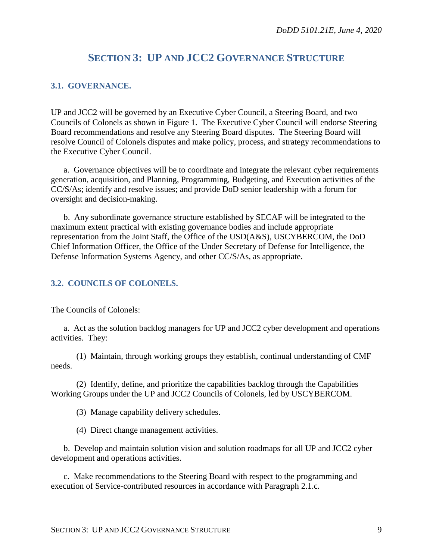## **SECTION 3: UP AND JCC2 GOVERNANCE STRUCTURE**

#### <span id="page-8-1"></span><span id="page-8-0"></span>**3.1. GOVERNANCE.**

UP and JCC2 will be governed by an Executive Cyber Council, a Steering Board, and two Councils of Colonels as shown in Figure 1. The Executive Cyber Council will endorse Steering Board recommendations and resolve any Steering Board disputes. The Steering Board will resolve Council of Colonels disputes and make policy, process, and strategy recommendations to the Executive Cyber Council.

a. Governance objectives will be to coordinate and integrate the relevant cyber requirements generation, acquisition, and Planning, Programming, Budgeting, and Execution activities of the CC/S/As; identify and resolve issues; and provide DoD senior leadership with a forum for oversight and decision-making.

b. Any subordinate governance structure established by SECAF will be integrated to the maximum extent practical with existing governance bodies and include appropriate representation from the Joint Staff, the Office of the USD(A&S), USCYBERCOM, the DoD Chief Information Officer, the Office of the Under Secretary of Defense for Intelligence, the Defense Information Systems Agency, and other CC/S/As, as appropriate.

#### <span id="page-8-2"></span>**3.2. COUNCILS OF COLONELS.**

The Councils of Colonels:

a. Act as the solution backlog managers for UP and JCC2 cyber development and operations activities. They:

(1) Maintain, through working groups they establish, continual understanding of CMF needs.

(2) Identify, define, and prioritize the capabilities backlog through the Capabilities Working Groups under the UP and JCC2 Councils of Colonels, led by USCYBERCOM.

(3) Manage capability delivery schedules.

(4) Direct change management activities.

b. Develop and maintain solution vision and solution roadmaps for all UP and JCC2 cyber development and operations activities.

c. Make recommendations to the Steering Board with respect to the programming and execution of Service-contributed resources in accordance with Paragraph 2.1.c.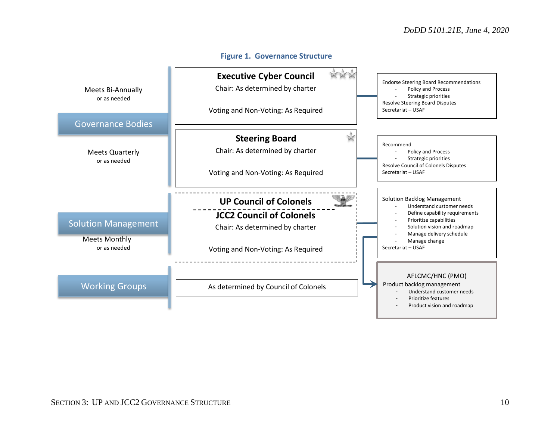<span id="page-9-0"></span>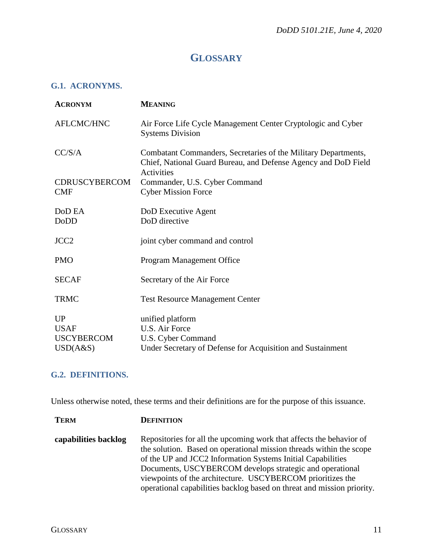## **GLOSSARY**

#### <span id="page-10-1"></span><span id="page-10-0"></span>**G.1. ACRONYMS.**

| <b>ACRONYM</b>                     | <b>MEANING</b>                                                                                                                                 |
|------------------------------------|------------------------------------------------------------------------------------------------------------------------------------------------|
| AFLCMC/HNC                         | Air Force Life Cycle Management Center Cryptologic and Cyber<br><b>Systems Division</b>                                                        |
| CC/S/A                             | Combatant Commanders, Secretaries of the Military Departments,<br>Chief, National Guard Bureau, and Defense Agency and DoD Field<br>Activities |
| <b>CDRUSCYBERCOM</b><br><b>CMF</b> | Commander, U.S. Cyber Command<br><b>Cyber Mission Force</b>                                                                                    |
| DoD EA<br>DoDD                     | DoD Executive Agent<br>DoD directive                                                                                                           |
| JCC <sub>2</sub>                   | joint cyber command and control                                                                                                                |
| <b>PMO</b>                         | Program Management Office                                                                                                                      |
| <b>SECAF</b>                       | Secretary of the Air Force                                                                                                                     |
| <b>TRMC</b>                        | <b>Test Resource Management Center</b>                                                                                                         |
| UP                                 | unified platform                                                                                                                               |
| <b>USAF</b>                        | U.S. Air Force                                                                                                                                 |
| <b>USCYBERCOM</b>                  | U.S. Cyber Command                                                                                                                             |
| USD(A&S)                           | Under Secretary of Defense for Acquisition and Sustainment                                                                                     |

#### <span id="page-10-2"></span>**G.2. DEFINITIONS.**

**TERM DEFINITION**

Unless otherwise noted, these terms and their definitions are for the purpose of this issuance.

**capabilities backlog** Repositories for all the upcoming work that affects the behavior of the solution. Based on operational mission threads within the scope of the UP and JCC2 Information Systems Initial Capabilities Documents, USCYBERCOM develops strategic and operational viewpoints of the architecture. USCYBERCOM prioritizes the operational capabilities backlog based on threat and mission priority.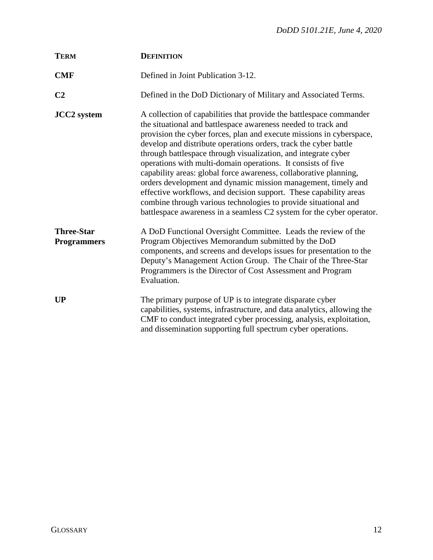| <b>TERM</b>                             | <b>DEFINITION</b>                                                                                                                                                                                                                                                                                                                                                                                                                                                                                                                                                                                                                                                                                                                                                         |
|-----------------------------------------|---------------------------------------------------------------------------------------------------------------------------------------------------------------------------------------------------------------------------------------------------------------------------------------------------------------------------------------------------------------------------------------------------------------------------------------------------------------------------------------------------------------------------------------------------------------------------------------------------------------------------------------------------------------------------------------------------------------------------------------------------------------------------|
| <b>CMF</b>                              | Defined in Joint Publication 3-12.                                                                                                                                                                                                                                                                                                                                                                                                                                                                                                                                                                                                                                                                                                                                        |
| C <sub>2</sub>                          | Defined in the DoD Dictionary of Military and Associated Terms.                                                                                                                                                                                                                                                                                                                                                                                                                                                                                                                                                                                                                                                                                                           |
| <b>JCC2</b> system                      | A collection of capabilities that provide the battlespace commander<br>the situational and battlespace awareness needed to track and<br>provision the cyber forces, plan and execute missions in cyberspace,<br>develop and distribute operations orders, track the cyber battle<br>through battlespace through visualization, and integrate cyber<br>operations with multi-domain operations. It consists of five<br>capability areas: global force awareness, collaborative planning,<br>orders development and dynamic mission management, timely and<br>effective workflows, and decision support. These capability areas<br>combine through various technologies to provide situational and<br>battlespace awareness in a seamless C2 system for the cyber operator. |
| <b>Three-Star</b><br><b>Programmers</b> | A DoD Functional Oversight Committee. Leads the review of the<br>Program Objectives Memorandum submitted by the DoD<br>components, and screens and develops issues for presentation to the<br>Deputy's Management Action Group. The Chair of the Three-Star<br>Programmers is the Director of Cost Assessment and Program<br>Evaluation.                                                                                                                                                                                                                                                                                                                                                                                                                                  |
| UP                                      | The primary purpose of UP is to integrate disparate cyber<br>capabilities, systems, infrastructure, and data analytics, allowing the<br>CMF to conduct integrated cyber processing, analysis, exploitation,<br>and dissemination supporting full spectrum cyber operations.                                                                                                                                                                                                                                                                                                                                                                                                                                                                                               |